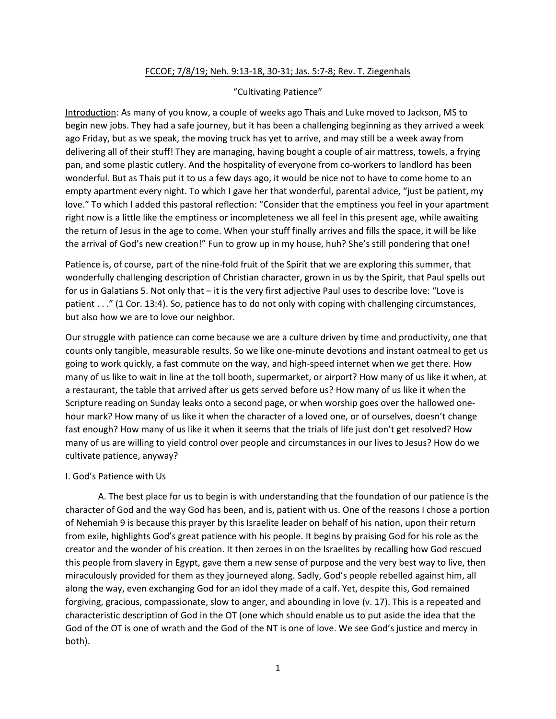### FCCOE; 7/8/19; Neh. 9:13-18, 30-31; Jas. 5:7-8; Rev. T. Ziegenhals

# "Cultivating Patience"

Introduction: As many of you know, a couple of weeks ago Thais and Luke moved to Jackson, MS to begin new jobs. They had a safe journey, but it has been a challenging beginning as they arrived a week ago Friday, but as we speak, the moving truck has yet to arrive, and may still be a week away from delivering all of their stuff! They are managing, having bought a couple of air mattress, towels, a frying pan, and some plastic cutlery. And the hospitality of everyone from co-workers to landlord has been wonderful. But as Thais put it to us a few days ago, it would be nice not to have to come home to an empty apartment every night. To which I gave her that wonderful, parental advice, "just be patient, my love." To which I added this pastoral reflection: "Consider that the emptiness you feel in your apartment right now is a little like the emptiness or incompleteness we all feel in this present age, while awaiting the return of Jesus in the age to come. When your stuff finally arrives and fills the space, it will be like the arrival of God's new creation!" Fun to grow up in my house, huh? She's still pondering that one!

Patience is, of course, part of the nine-fold fruit of the Spirit that we are exploring this summer, that wonderfully challenging description of Christian character, grown in us by the Spirit, that Paul spells out for us in Galatians 5. Not only that – it is the very first adjective Paul uses to describe love: "Love is patient . . ." (1 Cor. 13:4). So, patience has to do not only with coping with challenging circumstances, but also how we are to love our neighbor.

Our struggle with patience can come because we are a culture driven by time and productivity, one that counts only tangible, measurable results. So we like one-minute devotions and instant oatmeal to get us going to work quickly, a fast commute on the way, and high-speed internet when we get there. How many of us like to wait in line at the toll booth, supermarket, or airport? How many of us like it when, at a restaurant, the table that arrived after us gets served before us? How many of us like it when the Scripture reading on Sunday leaks onto a second page, or when worship goes over the hallowed onehour mark? How many of us like it when the character of a loved one, or of ourselves, doesn't change fast enough? How many of us like it when it seems that the trials of life just don't get resolved? How many of us are willing to yield control over people and circumstances in our lives to Jesus? How do we cultivate patience, anyway?

# I. God's Patience with Us

A. The best place for us to begin is with understanding that the foundation of our patience is the character of God and the way God has been, and is, patient with us. One of the reasons I chose a portion of Nehemiah 9 is because this prayer by this Israelite leader on behalf of his nation, upon their return from exile, highlights God's great patience with his people. It begins by praising God for his role as the creator and the wonder of his creation. It then zeroes in on the Israelites by recalling how God rescued this people from slavery in Egypt, gave them a new sense of purpose and the very best way to live, then miraculously provided for them as they journeyed along. Sadly, God's people rebelled against him, all along the way, even exchanging God for an idol they made of a calf. Yet, despite this, God remained forgiving, gracious, compassionate, slow to anger, and abounding in love (v. 17). This is a repeated and characteristic description of God in the OT (one which should enable us to put aside the idea that the God of the OT is one of wrath and the God of the NT is one of love. We see God's justice and mercy in both).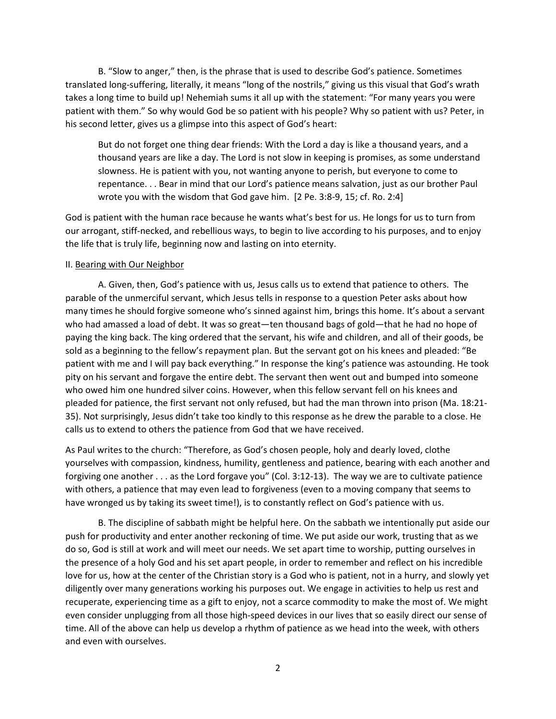B. "Slow to anger," then, is the phrase that is used to describe God's patience. Sometimes translated long-suffering, literally, it means "long of the nostrils," giving us this visual that God's wrath takes a long time to build up! Nehemiah sums it all up with the statement: "For many years you were patient with them." So why would God be so patient with his people? Why so patient with us? Peter, in his second letter, gives us a glimpse into this aspect of God's heart:

But do not forget one thing dear friends: With the Lord a day is like a thousand years, and a thousand years are like a day. The Lord is not slow in keeping is promises, as some understand slowness. He is patient with you, not wanting anyone to perish, but everyone to come to repentance. . . Bear in mind that our Lord's patience means salvation, just as our brother Paul wrote you with the wisdom that God gave him. [2 Pe. 3:8-9, 15; cf. Ro. 2:4]

God is patient with the human race because he wants what's best for us. He longs for us to turn from our arrogant, stiff-necked, and rebellious ways, to begin to live according to his purposes, and to enjoy the life that is truly life, beginning now and lasting on into eternity.

#### II. Bearing with Our Neighbor

A. Given, then, God's patience with us, Jesus calls us to extend that patience to others. The parable of the unmerciful servant, which Jesus tells in response to a question Peter asks about how many times he should forgive someone who's sinned against him, brings this home. It's about a servant who had amassed a load of debt. It was so great—ten thousand bags of gold—that he had no hope of paying the king back. The king ordered that the servant, his wife and children, and all of their goods, be sold as a beginning to the fellow's repayment plan. But the servant got on his knees and pleaded: "Be patient with me and I will pay back everything." In response the king's patience was astounding. He took pity on his servant and forgave the entire debt. The servant then went out and bumped into someone who owed him one hundred silver coins. However, when this fellow servant fell on his knees and pleaded for patience, the first servant not only refused, but had the man thrown into prison (Ma. 18:21- 35). Not surprisingly, Jesus didn't take too kindly to this response as he drew the parable to a close. He calls us to extend to others the patience from God that we have received.

As Paul writes to the church: "Therefore, as God's chosen people, holy and dearly loved, clothe yourselves with compassion, kindness, humility, gentleness and patience, bearing with each another and forgiving one another . . . as the Lord forgave you" (Col. 3:12-13). The way we are to cultivate patience with others, a patience that may even lead to forgiveness (even to a moving company that seems to have wronged us by taking its sweet time!), is to constantly reflect on God's patience with us.

B. The discipline of sabbath might be helpful here. On the sabbath we intentionally put aside our push for productivity and enter another reckoning of time. We put aside our work, trusting that as we do so, God is still at work and will meet our needs. We set apart time to worship, putting ourselves in the presence of a holy God and his set apart people, in order to remember and reflect on his incredible love for us, how at the center of the Christian story is a God who is patient, not in a hurry, and slowly yet diligently over many generations working his purposes out. We engage in activities to help us rest and recuperate, experiencing time as a gift to enjoy, not a scarce commodity to make the most of. We might even consider unplugging from all those high-speed devices in our lives that so easily direct our sense of time. All of the above can help us develop a rhythm of patience as we head into the week, with others and even with ourselves.